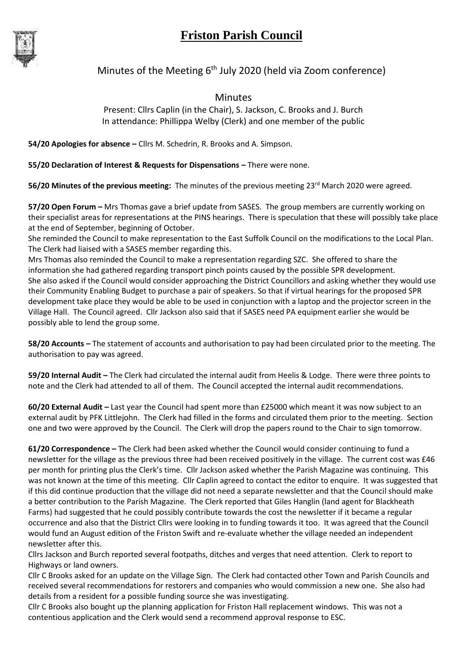## **Friston Parish Council**



## Minutes of the Meeting  $6<sup>th</sup>$  July 2020 (held via Zoom conference)

Minutes

Present: Cllrs Caplin (in the Chair), S. Jackson, C. Brooks and J. Burch In attendance: Phillippa Welby (Clerk) and one member of the public

**54/20 Apologies for absence –** Cllrs M. Schedrin, R. Brooks and A. Simpson.

**55/20 Declaration of Interest & Requests for Dispensations –** There were none.

56/20 Minutes of the previous meeting: The minutes of the previous meeting 23<sup>rd</sup> March 2020 were agreed.

**57/20 Open Forum –** Mrs Thomas gave a brief update from SASES. The group members are currently working on their specialist areas for representations at the PINS hearings. There is speculation that these will possibly take place at the end of September, beginning of October.

She reminded the Council to make representation to the East Suffolk Council on the modifications to the Local Plan. The Clerk had liaised with a SASES member regarding this.

Mrs Thomas also reminded the Council to make a representation regarding SZC. She offered to share the information she had gathered regarding transport pinch points caused by the possible SPR development. She also asked if the Council would consider approaching the District Councillors and asking whether they would use their Community Enabling Budget to purchase a pair of speakers. So that if virtual hearings for the proposed SPR development take place they would be able to be used in conjunction with a laptop and the projector screen in the Village Hall. The Council agreed. Cllr Jackson also said that if SASES need PA equipment earlier she would be possibly able to lend the group some.

**58/20 Accounts –** The statement of accounts and authorisation to pay had been circulated prior to the meeting. The authorisation to pay was agreed.

**59/20 Internal Audit –** The Clerk had circulated the internal audit from Heelis & Lodge. There were three points to note and the Clerk had attended to all of them. The Council accepted the internal audit recommendations.

**60/20 External Audit –** Last year the Council had spent more than £25000 which meant it was now subject to an external audit by PFK Littlejohn. The Clerk had filled in the forms and circulated them prior to the meeting. Section one and two were approved by the Council. The Clerk will drop the papers round to the Chair to sign tomorrow.

**61/20 Correspondence –** The Clerk had been asked whether the Council would consider continuing to fund a newsletter for the village as the previous three had been received positively in the village. The current cost was £46 per month for printing plus the Clerk's time. Cllr Jackson asked whether the Parish Magazine was continuing. This was not known at the time of this meeting. Cllr Caplin agreed to contact the editor to enquire. It was suggested that if this did continue production that the village did not need a separate newsletter and that the Council should make a better contribution to the Parish Magazine. The Clerk reported that Giles Hanglin (land agent for Blackheath Farms) had suggested that he could possibly contribute towards the cost the newsletter if it became a regular occurrence and also that the District Cllrs were looking in to funding towards it too. It was agreed that the Council would fund an August edition of the Friston Swift and re-evaluate whether the village needed an independent newsletter after this.

Cllrs Jackson and Burch reported several footpaths, ditches and verges that need attention. Clerk to report to Highways or land owners.

Cllr C Brooks asked for an update on the Village Sign. The Clerk had contacted other Town and Parish Councils and received several recommendations for restorers and companies who would commission a new one. She also had details from a resident for a possible funding source she was investigating.

Cllr C Brooks also bought up the planning application for Friston Hall replacement windows. This was not a contentious application and the Clerk would send a recommend approval response to ESC.